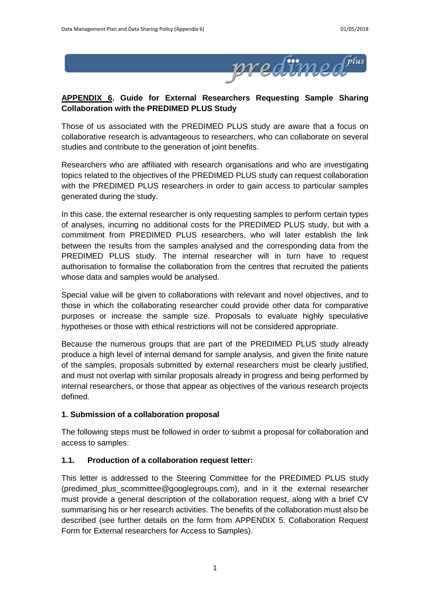

# **APPENDIX 6. Guide for External Researchers Requesting Sample Sharing Collaboration with the PREDIMED PLUS Study**

Those of us associated with the PREDIMED PLUS study are aware that a focus on collaborative research is advantageous to researchers, who can collaborate on several studies and contribute to the generation of joint benefits.

Researchers who are affiliated with research organisations and who are investigating topics related to the objectives of the PREDIMED PLUS study can request collaboration with the PREDIMED PLUS researchers in order to gain access to particular samples generated during the study.

In this case, the external researcher is only requesting samples to perform certain types of analyses, incurring no additional costs for the PREDIMED PLUS study, but with a commitment from PREDIMED PLUS researchers, who will later establish the link between the results from the samples analysed and the corresponding data from the PREDIMED PLUS study. The internal researcher will in turn have to request authorisation to formalise the collaboration from the centres that recruited the patients whose data and samples would be analysed.

Special value will be given to collaborations with relevant and novel objectives, and to those in which the collaborating researcher could provide other data for comparative purposes or increase the sample size. Proposals to evaluate highly speculative hypotheses or those with ethical restrictions will not be considered appropriate.

Because the numerous groups that are part of the PREDIMED PLUS study already produce a high level of internal demand for sample analysis, and given the finite nature of the samples, proposals submitted by external researchers must be clearly justified, and must not overlap with similar proposals already in progress and being performed by internal researchers, or those that appear as objectives of the various research projects defined.

# **1. Submission of a collaboration proposal**

The following steps must be followed in order to submit a proposal for collaboration and access to samples:

# **1.1. Production of a collaboration request letter:**

This letter is addressed to the Steering Committee for the PREDIMED PLUS study (predimed\_plus\_scommittee@googlegroups.com), and in it the external researcher must provide a general description of the collaboration request, along with a brief CV summarising his or her research activities. The benefits of the collaboration must also be described (see further details on the form from APPENDIX 5. Collaboration Request Form for External researchers for Access to Samples).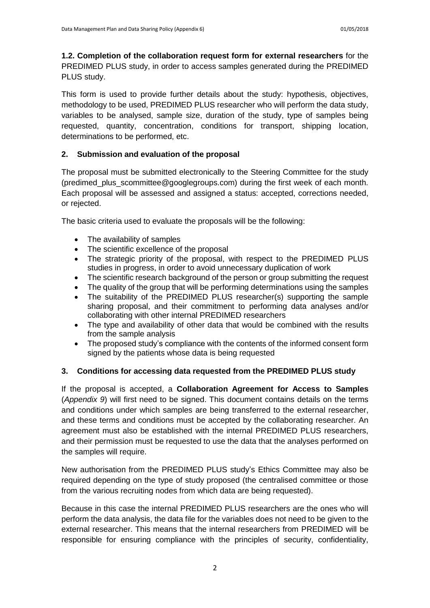**1.2. Completion of the collaboration request form for external researchers** for the PREDIMED PLUS study, in order to access samples generated during the PREDIMED PLUS study.

This form is used to provide further details about the study: hypothesis, objectives, methodology to be used, PREDIMED PLUS researcher who will perform the data study, variables to be analysed, sample size, duration of the study, type of samples being requested, quantity, concentration, conditions for transport, shipping location, determinations to be performed, etc.

## **2. Submission and evaluation of the proposal**

The proposal must be submitted electronically to the Steering Committee for the study (predimed\_plus\_scommittee@googlegroups.com) during the first week of each month. Each proposal will be assessed and assigned a status: accepted, corrections needed, or rejected.

The basic criteria used to evaluate the proposals will be the following:

- The availability of samples
- The scientific excellence of the proposal
- The strategic priority of the proposal, with respect to the PREDIMED PLUS studies in progress, in order to avoid unnecessary duplication of work
- The scientific research background of the person or group submitting the request
- The quality of the group that will be performing determinations using the samples
- The suitability of the PREDIMED PLUS researcher(s) supporting the sample sharing proposal, and their commitment to performing data analyses and/or collaborating with other internal PREDIMED researchers
- The type and availability of other data that would be combined with the results from the sample analysis
- The proposed study's compliance with the contents of the informed consent form signed by the patients whose data is being requested

### **3. Conditions for accessing data requested from the PREDIMED PLUS study**

If the proposal is accepted, a **Collaboration Agreement for Access to Samples** (*Appendix 9*) will first need to be signed. This document contains details on the terms and conditions under which samples are being transferred to the external researcher, and these terms and conditions must be accepted by the collaborating researcher. An agreement must also be established with the internal PREDIMED PLUS researchers, and their permission must be requested to use the data that the analyses performed on the samples will require.

New authorisation from the PREDIMED PLUS study's Ethics Committee may also be required depending on the type of study proposed (the centralised committee or those from the various recruiting nodes from which data are being requested).

Because in this case the internal PREDIMED PLUS researchers are the ones who will perform the data analysis, the data file for the variables does not need to be given to the external researcher. This means that the internal researchers from PREDIMED will be responsible for ensuring compliance with the principles of security, confidentiality,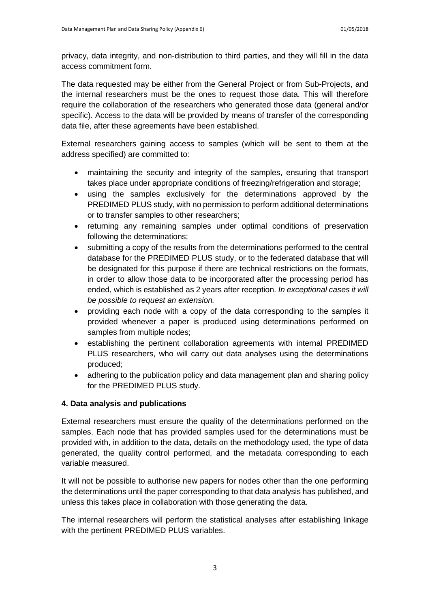privacy, data integrity, and non-distribution to third parties, and they will fill in the data access commitment form.

The data requested may be either from the General Project or from Sub-Projects, and the internal researchers must be the ones to request those data. This will therefore require the collaboration of the researchers who generated those data (general and/or specific). Access to the data will be provided by means of transfer of the corresponding data file, after these agreements have been established.

External researchers gaining access to samples (which will be sent to them at the address specified) are committed to:

- maintaining the security and integrity of the samples, ensuring that transport takes place under appropriate conditions of freezing/refrigeration and storage;
- using the samples exclusively for the determinations approved by the PREDIMED PLUS study, with no permission to perform additional determinations or to transfer samples to other researchers;
- returning any remaining samples under optimal conditions of preservation following the determinations;
- submitting a copy of the results from the determinations performed to the central database for the PREDIMED PLUS study, or to the federated database that will be designated for this purpose if there are technical restrictions on the formats, in order to allow those data to be incorporated after the processing period has ended, which is established as 2 years after reception. *In exceptional cases it will be possible to request an extension.*
- providing each node with a copy of the data corresponding to the samples it provided whenever a paper is produced using determinations performed on samples from multiple nodes;
- establishing the pertinent collaboration agreements with internal PREDIMED PLUS researchers, who will carry out data analyses using the determinations produced;
- adhering to the publication policy and data management plan and sharing policy for the PREDIMED PLUS study.

# **4. Data analysis and publications**

External researchers must ensure the quality of the determinations performed on the samples. Each node that has provided samples used for the determinations must be provided with, in addition to the data, details on the methodology used, the type of data generated, the quality control performed, and the metadata corresponding to each variable measured.

It will not be possible to authorise new papers for nodes other than the one performing the determinations until the paper corresponding to that data analysis has published, and unless this takes place in collaboration with those generating the data.

The internal researchers will perform the statistical analyses after establishing linkage with the pertinent PREDIMED PLUS variables.